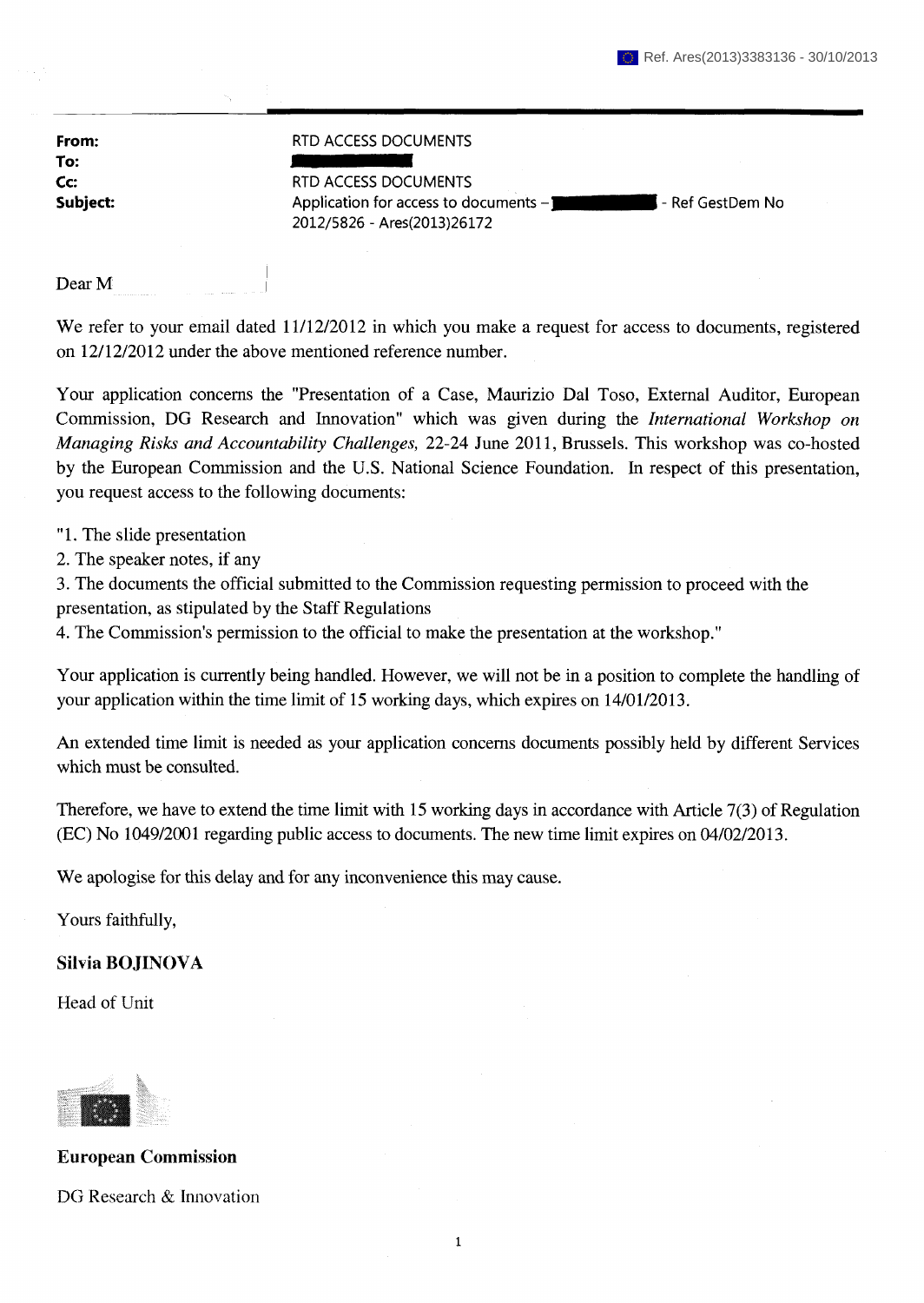| From:    |
|----------|
| To:      |
| Cc:      |
| Subject: |

## RTD ACCESS DOCUMENTS

RTD ACCESS DOCUMENTS Application for access to documents – **The Communisties of Application No** 2012/5826 - Ares(2013)26172

Dear M

We refer to your email dated 11/12/2012 in which you make a request for access to documents, registered on 12/12/2012 under the above mentioned reference number.

Your application concerns the "Presentation of a Case, Maurizio Dal Toso, External Auditor, European Commission, DG Research and Innovation" which was given during the *International Workshop on Managing Risks and Accountability Challenges,* 22-24 June 2011, Brussels. This workshop was co-hosted by the European Commission and the U.S. National Science Foundation. In respect of this presentation, you request access to the following documents:

- "1. The slide presentation
- 2. The speaker notes, if any

3. The documents the official submitted to the Commission requesting permission to proceed with the presentation, as stipulated by the Staff Regulations

4. The Commission's permission to the official to make the presentation at the workshop."

Your application is currently being handled. However, we will not be in a position to complete the handling of your application within the time limit of 15 working days, which expires on 14/01/2013.

An extended time limit is needed as your application concerns documents possibly held by different Services which must be consulted.

Therefore, we have to extend the time limit with 15 working days in accordance with Article 7(3) of Regulation (EC) No 1049/2001 regarding public access to documents. The new time limit expires on 04/02/2013.

We apologise for this delay and for any inconvenience this may cause.

Yours faithfully,

## **Silvia BOJINOVA**

Head of Unit



**European Commission**  DG Research & Innovation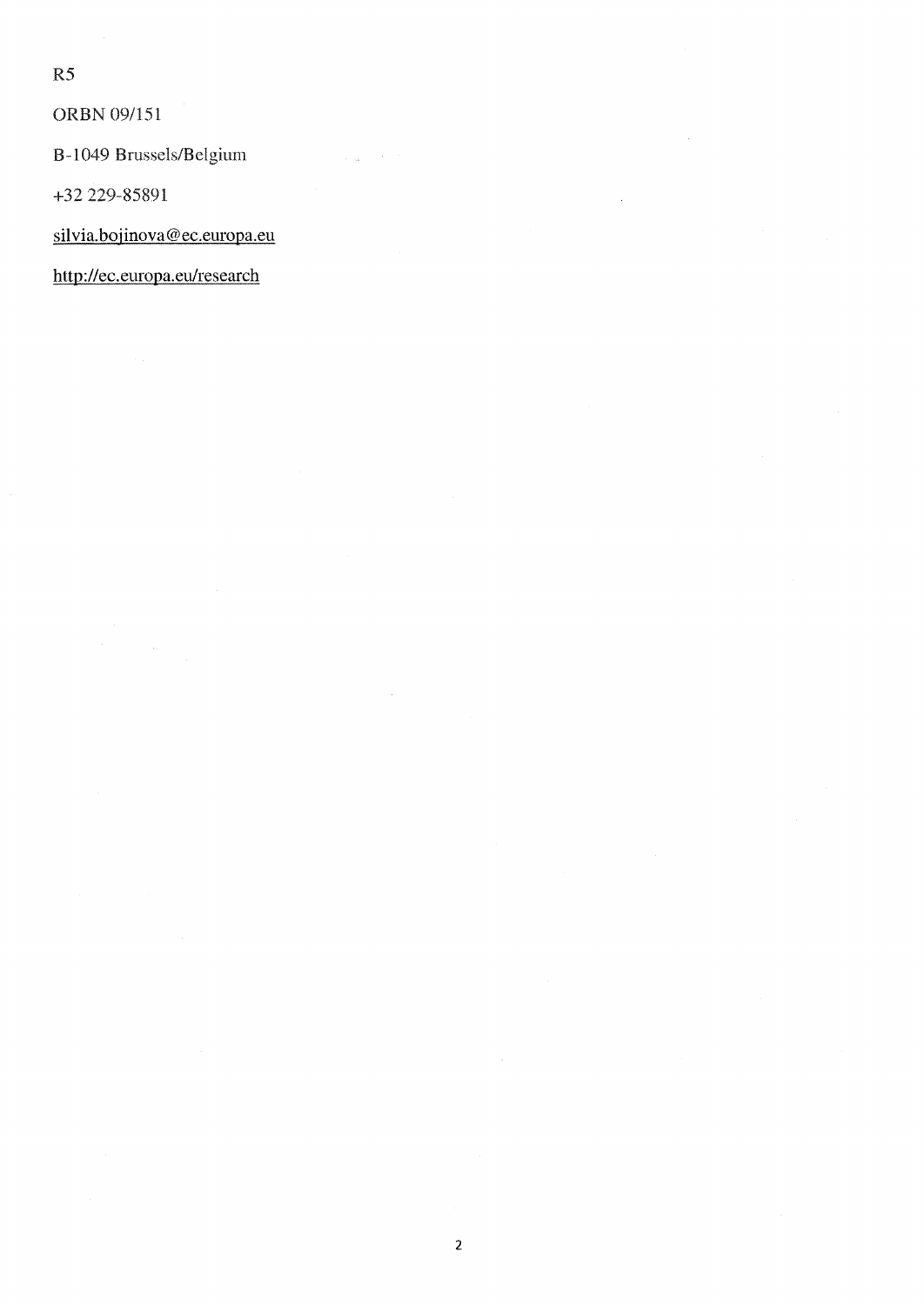R5

ORBN 09/151

В-1049 Brussels/Belgium

+32 229-85891

silvia.bojinova@ec.europa.eu

http://ec.europa.eu/research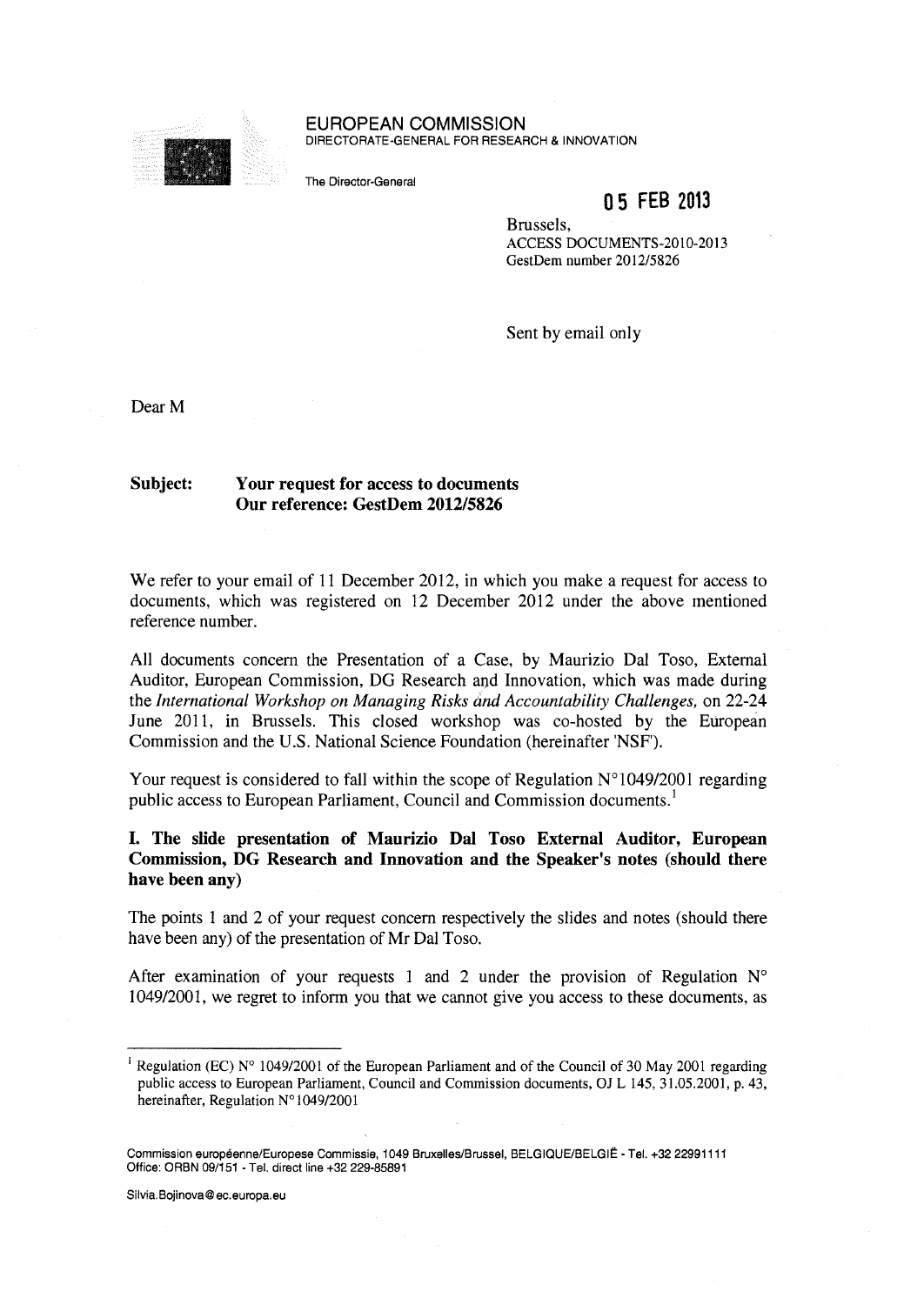

EUROPEAN COMMISSION DIRECTORATE-GENERAL FOR RESEARCH & INNOVATION

The Director-General

# 05 FEB 2013

Brussels, **ACCESS DOCUMENTS-2010-2013 GestDem number 2012/5826** 

Sent by email only

Dear M

## **Subject: Your request for access to documents Our reference: GestDem 2012/5826**

We refer to your email of 11 December 2012, in which you make a request for access to documents, which was registered on 12 December 2012 under the above mentioned reference number.

All documents concern the Presentation of a Case, by Maurizio Dal Toso, External Auditor, European Commission, DG Research and Innovation, which was made during the *International Workshop on Managing Risks and Accountability Challenges,* on 22-24 June 2011, in Brussels. This closed workshop was co-hosted by the European Commission and the U.S. National Science Foundation (hereinafter 'NSF').

Your request is considered to fall within the scope of Regulation  $N^{\circ}1049/2001$  regarding public access to European Parliament, Council and Commission documents.<sup>1</sup>

## **I. The slide presentation of Maurizio Dal Toso External Auditor, European Commission, DG Research and Innovation and the Speaker's notes (should there have been any)**

The points 1 and 2 of your request concern respectively the slides and notes (should there have been any) of the presentation of Mr Dal Toso.

After examination of your requests 1 and 2 under the provision of Regulation  $N^{\circ}$ 1049/2001, we regret to inform you that we cannot give you access to these documents, as

Silvia.Bojinova@ec.europa.eu

**<sup>1</sup>Regulation (EC) № 1049/2001 of the European Parliament and of the Council of 30 May 2001 regarding public access to European Parliament, Council and Commission documents, OJ L 145, 31.05.2001, p. 43, hereinafter, Regulation №1049/2001** 

Commission européenne/Europese Commissie, 1049 Bruxelles/Brussel, BELGIQUE/BELGIË - Tel. +32 22991111 Office: ORBN 09/151 - Tel. direct line +32 229-85891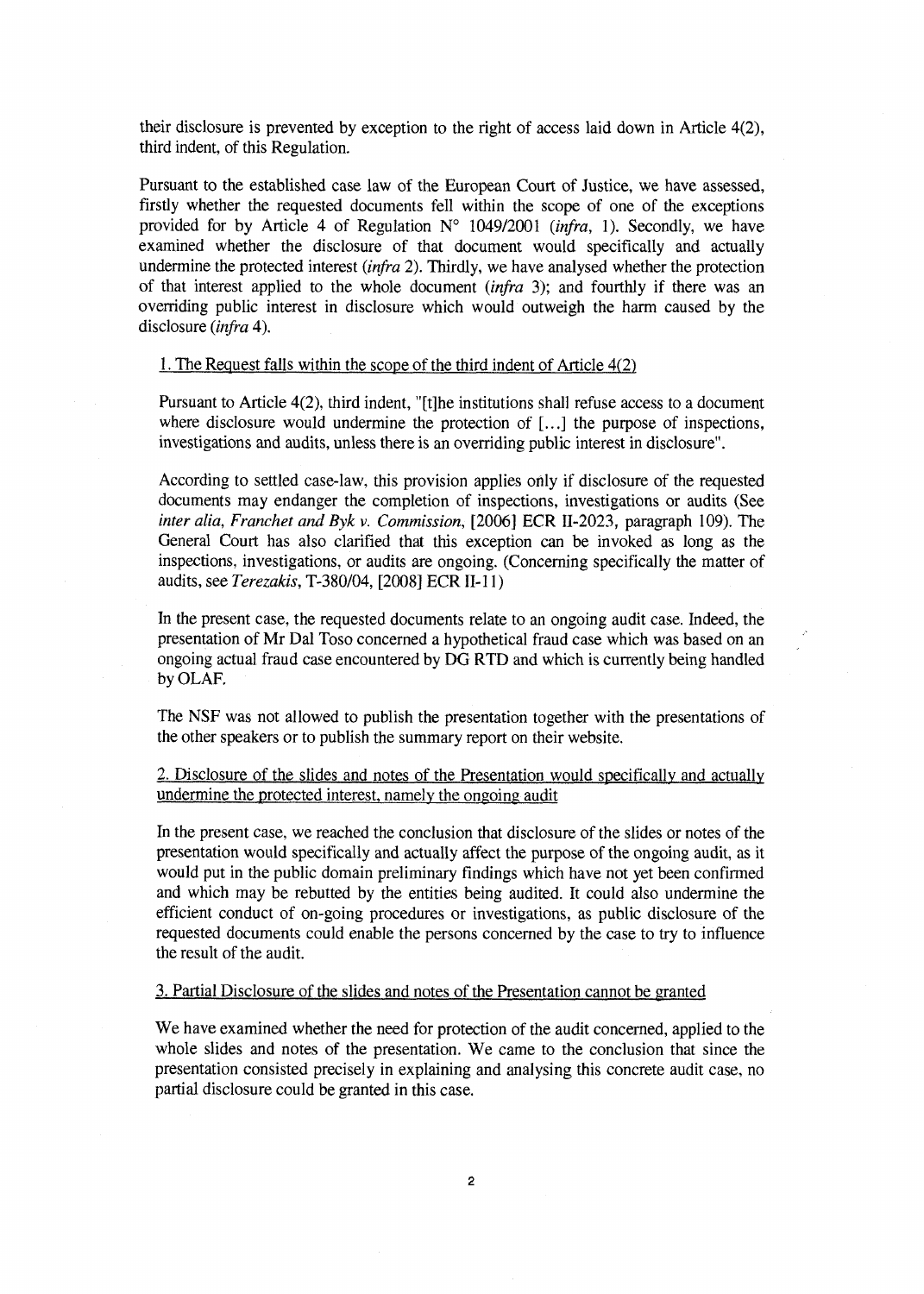their disclosure is prevented by exception to the right of access laid down in Article 4(2), third indent, of this Regulation.

Pursuant to the established case law of the European Court of Justice, we have assessed, firstly whether the requested documents fell within the scope of one of the exceptions provided for by Article 4 of Regulation № 1049/2001 *{infra,* 1). Secondly, we have examined whether the disclosure of that document would specifically and actually undermine the protected interest *(infra* 2). Thirdly, we have analysed whether the protection of that interest applied to the whole document (*infra* 3); and fourthly if there was an overriding public interest in disclosure which would outweigh the harm caused by the disclosure (*infra* 4).

### 1. The Request falls within the scope of the third indent of Article 4(2)

Pursuant to Article 4(2), third indent, "[t]he institutions shall refuse access to a document where disclosure would undermine the protection of [...] the purpose of inspections, investigations and audits, unless there is an overriding public interest in disclosure".

According to settled case-law, this provision applies only if disclosure of the requested documents may endanger the completion of inspections, investigations or audits (See *inter alia, Franchet and Byk v. Commission, [2006] ECR II-2023, paragraph 109). The* General Court has also clarified that this exception can be invoked as long as the inspections, investigations, or audits are ongoing. (Concerning specifically the matter of audits, see *Terezakis,* T-380/04, [2008] ECR II-l 1)

In the present case, the requested documents relate to an ongoing audit case. Indeed, the presentation of Mr Dal Toso concerned a hypothetical fraud case which was based on an ongoing actual fraud case encountered by DG RTD and which is currently being handled by OLAF.

The NSF was not allowed to publish the presentation together with the presentations of the other speakers or to publish the summary report on their website.

## 2. Disclosure of the slides and notes of the Presentation would specifically and actually undermine the protected interest, namely the ongoing audit

In the present case, we reached the conclusion that disclosure of the slides or notes of the presentation would specifically and actually affect the purpose of the ongoing audit, as it would put in the public domain preliminary findings which have not yet been confirmed and which may be rebutted by the entities being audited. It could also undermine the efficient conduct of on-going procedures or investigations, as public disclosure of the requested documents could enable the persons concerned by the case to try to influence the result of the audit.

### 3. Partial Disclosure of the slides and notes of the Presentation cannot be granted

We have examined whether the need for protection of the audit concerned, applied to the whole slides and notes of the presentation. We came to the conclusion that since the presentation consisted precisely in explaining and analysing this concrete audit case, no partial disclosure could be granted in this case.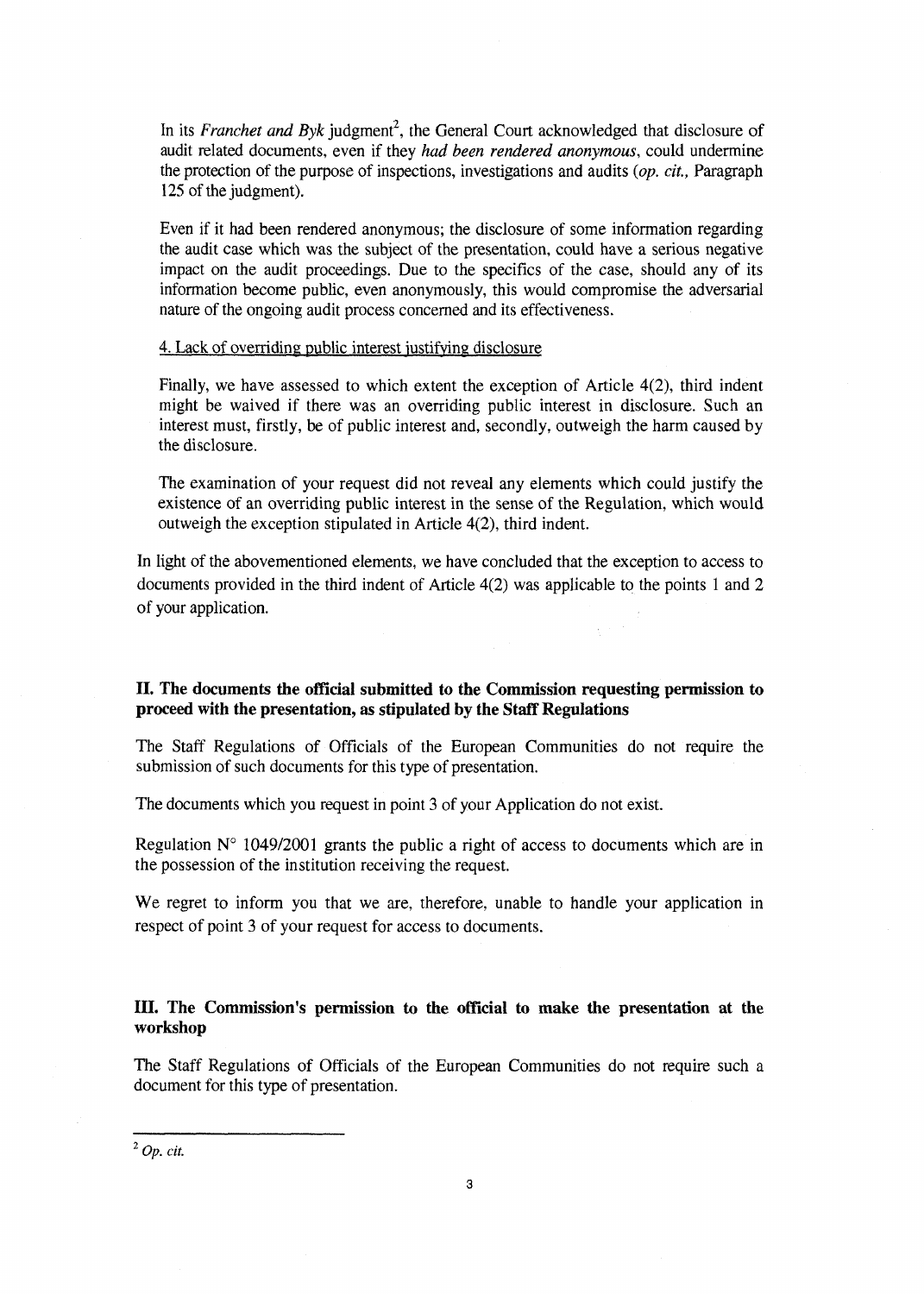In its *Franchet and Byk* judgment<sup>2</sup>, the General Court acknowledged that disclosure of audit related documents, even if they *had been rendered anonymous,* could undermine the protection of the purpose of inspections, investigations and audits *{op. cit.,* Paragraph 125 of the judgment).

Even if it had been rendered anonymous; the disclosure of some information regarding the audit case which was the subject of the presentation, could have a serious negative impact on the audit proceedings. Due to the specifics of the case, should any of its information become public, even anonymously, this would compromise the adversarial nature of the ongoing audit process concerned and its effectiveness.

### 4. Lack of overriding public interest justifying disclosure

Finally, we have assessed to which extent the exception of Article 4(2), third indent might be waived if there was an overriding public interest in disclosure. Such an interest must, firstly, be of public interest and, secondly, outweigh the harm caused by the disclosure.

The examination of your request did not reveal any elements which could justify the existence of an overriding public interest in the sense of the Regulation, which would outweigh the exception stipulated in Article 4(2), third indent.

In light of the abovementioned elements, we have concluded that the exception to access to documents provided in the third indent of Article 4(2) was applicable to the points 1 and 2 of your application.

## II. The documents the official submitted to the Commission requesting permission to **proceed with the presentation, as stipulated by the Staff Regulations**

The Staff Regulations of Officials of the European Communities do not require the submission of such documents for this type of presentation.

The documents which you request in point 3 of your Application do not exist.

Regulation  $N^{\circ}$  1049/2001 grants the public a right of access to documents which are in the possession of the institution receiving the request.

We regret to inform you that we are, therefore, unable to handle your application in respect of point 3 of your request for access to documents.

## **IIL The Commission's permission to the official to make the presentation at the workshop**

The Staff Regulations of Officials of the European Communities do not require such a document for this type of presentation.

*<sup>2</sup>Op. cit.*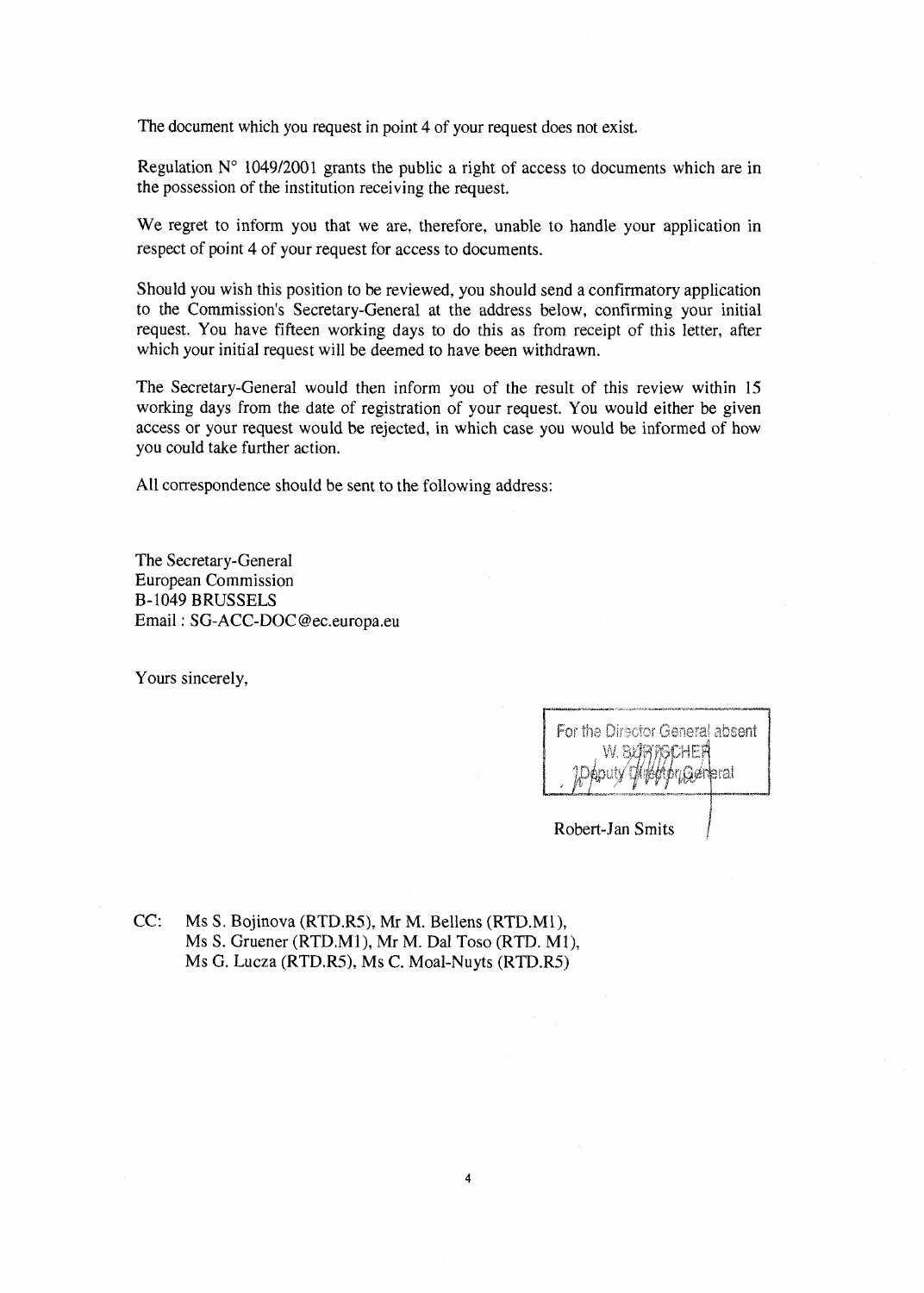The document which you request in point 4 of your request does not exist.

Regulation  $N^{\circ}$  1049/2001 grants the public a right of access to documents which are in the possession of the institution receiving the request.

We regret to inform you that we are, therefore, unable to handle your application in respect of point 4 of your request for access to documents.

Should you wish this position to be reviewed, you should send a confirmatory application to the Commission's Secretary-General at the address below, confirming your initial request. You have fifteen working days to do this as from receipt of this letter, after which your initial request will be deemed to have been withdrawn.

The Secretary-General would then inform you of the result of this review within 15 working days from the date of registration of your request. You would either be given access or your request would be rejected, in which case you would be informed of how you could take further action.

All correspondence should be sent to the following address:

The Secretary-General European Commission B-1049 BRUSSELS Email: SG-ACC-DOC@ec.europa.eu

Yours sincerely,

| For the Director General absent |
|---------------------------------|
| W. RICHBOHEA                    |
| pputy this high production      |

Robert-Jan Smits

CC: Ms S. Bojinova (RTD.R5), Mr M. Bellens (RTD.Ml), Ms S. Gruener (RTD.M1), Mr M. Dal Toso (RTD. Ml), Ms G. Lucza (RTD.R5), Ms C. Moal-Nuyts (RTD.R5)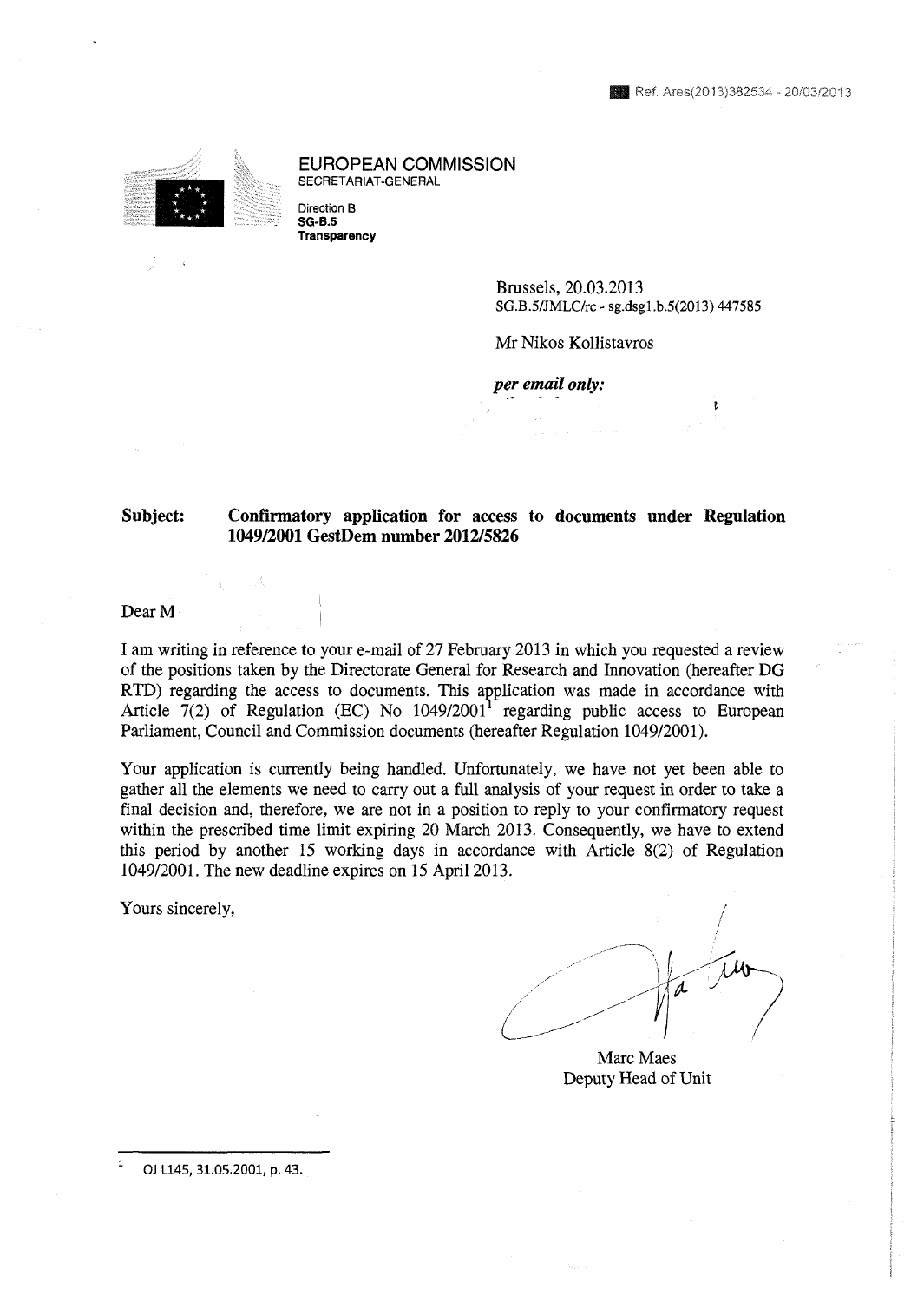EUROPEAN COMMISSION SECRETARIAT-GENERAL

Direction В **SG-B.5 Transparency** 

 $\sim$ .

> Brussels, 20.03.2013 **SG.B.5/JMLC/rc - sg.dsgl.b.5(2013) 447585**

Mr Nikos Kollistavros

*per email only:* 

## **Subject: Confirmatory application for access to documents under Regulation 1049/2001 GestDem number 2012/5826**

Dear M

I am writing in reference to your e-mail of 27 February 2013 in which you requested a review of the positions taken by the Directorate General for Research and Innovation (hereafter DG RTD) regarding the access to documents. This application was made in accordance with Article 7(2) of Regulation (EC) No  $1049/2001<sup>1</sup>$  regarding public access to European Parliament, Council and Commission documents (hereafter Regulation 1049/2001).

Your application is currently being handled. Unfortunately, we have not yet been able to gather all the elements we need to carry out a full analysis of your request in order to take a final decision and, therefore, we are not in a position to reply to your confirmatory request within the prescribed time limit expiring 20 March 2013. Consequently, we have to extend this period by another 15 working days in accordance with Article 8(2) of Regulation 1049/2001. The new deadline expires on 15 April 2013.

Yours sincerely,

Marc Maes Deputy Head of Unit

**1 OJ L145, 31.05.2001, p. 43.**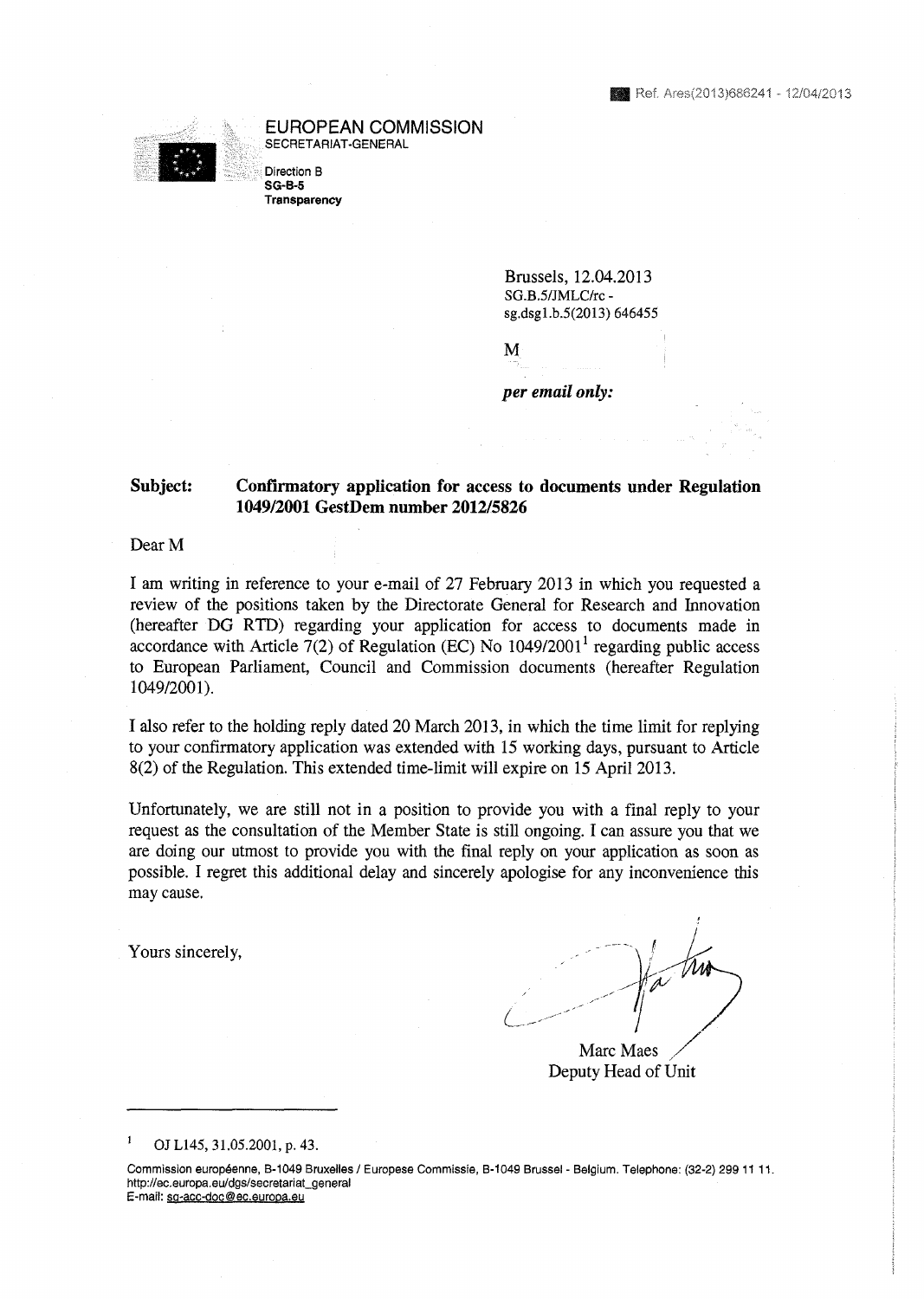#### EUROPEAN COMMISSION SECRETARIAT-GENERAL



Direction В **SG-B-5** 

**Transparency** 

Brussels, 12.04.2013 **SG.B.5/JMLC/rc sg.dsgl.b.5(2013) 646455** 

*per email only:* 

M

## **Subject: Confirmatory application for access to documents under Regulation 1049/2001 GestDem number 2012/5826**

Dear M

I am writing in reference to your e-mail of 27 February 2013 in which you requested a review of the positions taken by the Directorate General for Research and Innovation (hereafter DG RTD) regarding your application for access to documents made in accordance with Article 7(2) of Regulation (EC) No  $1049/2001^1$  regarding public access to European Parliament, Council and Commission documents (hereafter Regulation 1049/2001).

I also refer to the holding reply dated 20 March 2013, in which the time limit for replying to your confirmatory application was extended with 15 working days, pursuant to Article 8(2) of the Regulation. This extended time-limit will expire on 15 April 2013.

Unfortunately, we are still not in a position to provide you with a final reply to your request as the consultation of the Member State is still ongoing. I can assure you that we are doing our utmost to provide you with the final reply on your application as soon as possible. I regret this additional delay and sincerely apologise for any inconvenience this may cause.

Yours sincerely,

Marc Maes Deputy Head of Unit

**<sup>1</sup>OJL145, 31.05.2001, p. 43.** 

Commission européenne, B-1049 Bruxelles / Europese Commissie, B-1049 Brussel - Belgium. Telephone: (32-2) 299 11 11. http://ec.europa.eu/dgs/secretariat\_general E-mail: sq-acc-doc@ec.europa.eu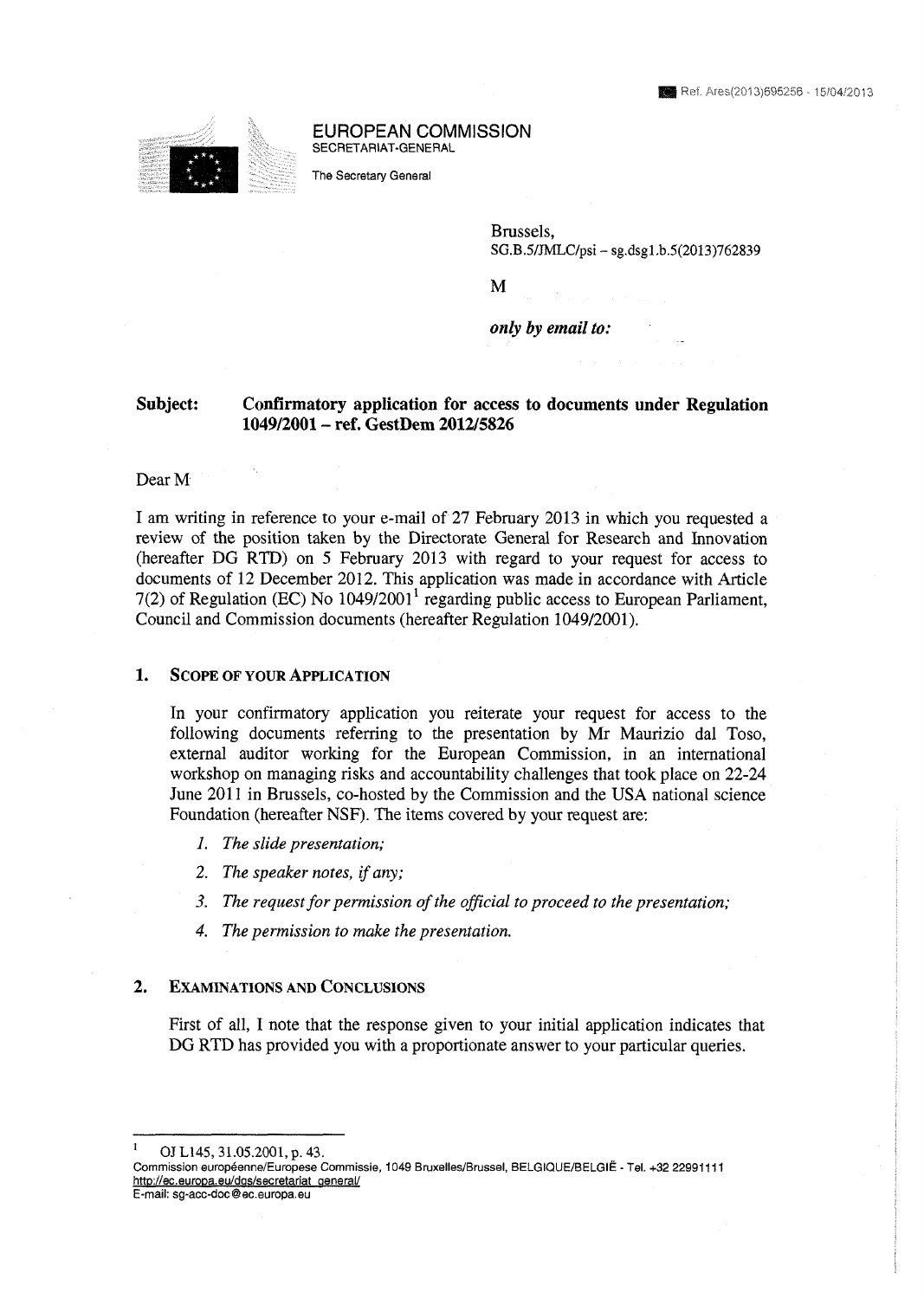

#### % EUROPEAN COMMISSION SECRETARIAT-GENERAL

The Secretary General

Brussels, **SG.B.5/MLC/psi - sg.dsgl.b.5(2013)762839** 

M

*only by email to:* 

## **Subject: Confirmatory application for access to documents under Regulation 1049/2001 - ref. GestDem 2012/5826**

### Dear M

I am writing in reference to your e-mail of 27 February 2013 in which you requested a review of the position taken by the Directorate General for Research and Innovation (hereafter DG RTD) on 5 February 2013 with regard to your request for access to documents of 12 December 2012. This application was made in accordance with Article 7(2) of Regulation (EC) No 1049/20011 regarding public access to European Parliament, Council and Commission documents (hereafter Regulation 1049/2001).

### **1. SCOPE OF YOUR APPLICATION**

In your confirmatory application you reiterate your request for access to the following documents referring to the presentation by Mr Maurizio dal Toso, external auditor working for the European Commission, in an international workshop on managing risks and accountability challenges that took place on 22-24 June 2011 in Brussels, co-hosted by the Commission and the USA national science Foundation (hereafter NSF). The items covered by your request are:

- *1. The slide presentation;*
- *2. The speaker notes, if any;*
- *3. The request for permission of the official to proceed to the presentation;*
- *4. The permission to make the presentation.*

### **2. EXAMINATIONS AND CONCLUSIONS**

First of all, I note that the response given to your initial application indicates that DG RTD has provided you with a proportionate answer to your particular queries.

**<sup>1</sup>OJL145, 31.05.2001, p. 43.** 

Commission européenne/Europese Commissie, 1049 Bruxelles/Brussel, BELGIQUE/BELGIÉ - Tel. +32 22991111 http://ec.europa.eu/dgs/secretariat\_general/ E-mail: sq-acc-doc@ec.europa.eu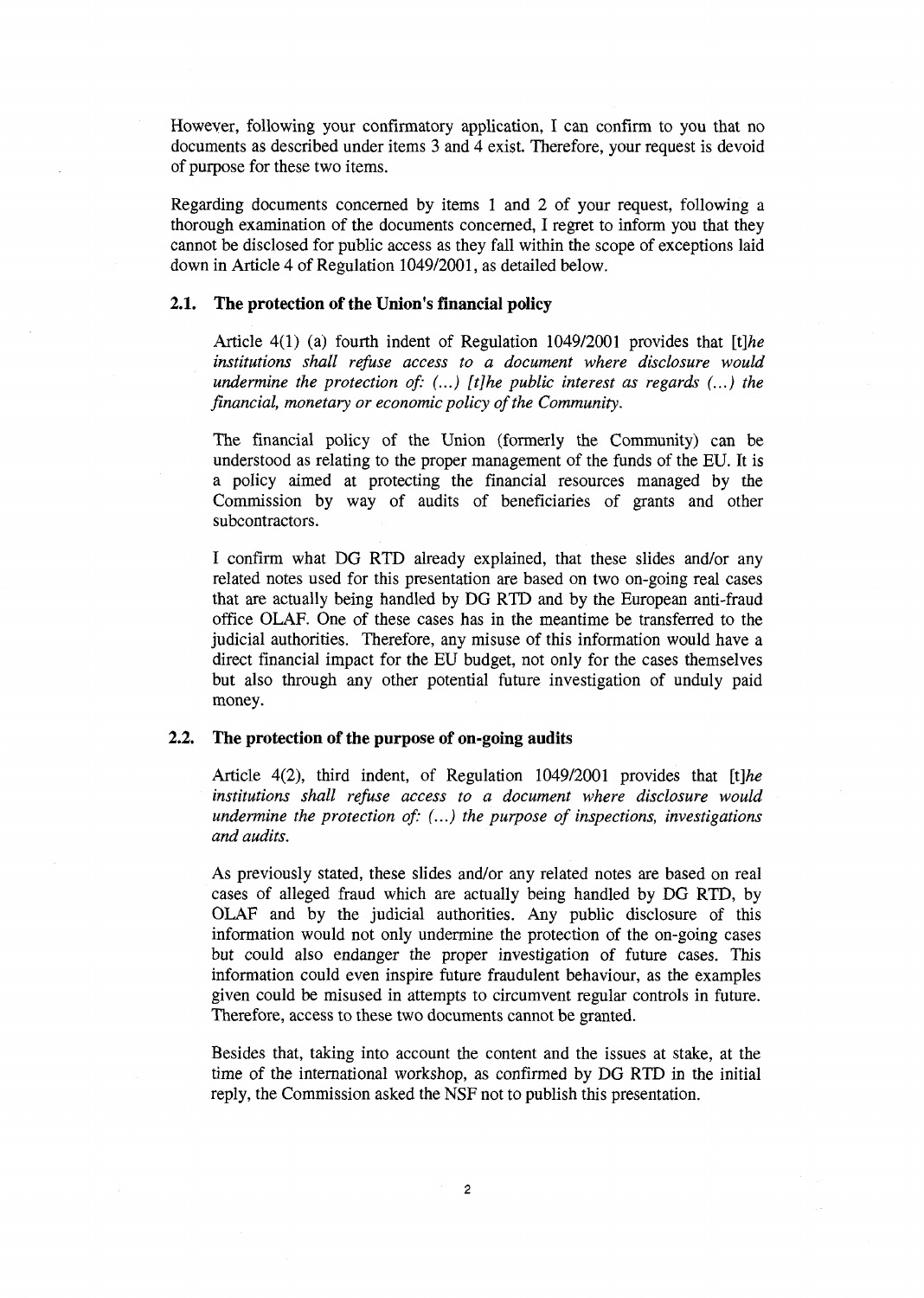However, following your confirmatory application, I can confirm to you that no documents as described under items 3 and 4 exist. Therefore, your request is devoid of purpose for these two items.

Regarding documents concerned by items 1 and 2 of your request, following a thorough examination of the documents concerned, I regret to inform you that they cannot be disclosed for public access as they fall within the scope of exceptions laid down in Article 4 of Regulation 1049/2001, as detailed below.

### **2.1. The protection of the Union's financial policy**

Article 4(1) (a) fourth indent of Regulation 1049/2001 provides that *[i]he institutions shall refuse access to a document where disclosure would undermine the protection of: (...) [t]he public interest as regards (...) the financial, monetary or economic policy of the Community.* 

The financial policy of the Union (formerly the Community) can be understood as relating to the proper management of the funds of the EU. It is a policy aimed at protecting the financial resources managed by the Commission by way of audits of beneficiaries of grants and other subcontractors.

I confirm what DG RTD already explained, that these slides and/or any related notes used for this presentation are based on two on-going real cases that are actually being handled by DG RTD and by the European anti-fraud office OLAF. One of these cases has in the meantime be transferred to the judicial authorities. Therefore, any misuse of this information would have a direct financial impact for the EU budget, not only for the cases themselves but also through any other potential future investigation of unduly paid money.

### **2.2. The protection of the purpose of on-going audits**

Article 4(2), third indent, of Regulation 1049/2001 provides that *[t]he institutions shall refuse access to a document where disclosure would undermine the protection of: (...) the purpose of inspections, investigations and audits.* 

As previously stated, these slides and/or any related notes are based on real cases of alleged fraud which are actually being handled by DG RTD, by OLAF and by the judicial authorities. Any public disclosure of this information would not only undermine the protection of the on-going cases but could also endanger the proper investigation of future cases. This information could even inspire future fraudulent behaviour, as the examples given could be misused in attempts to circumvent regular controls in future. Therefore, access to these two documents cannot be granted.

Besides that, taking into account the content and the issues at stake, at the time of the international workshop, as confirmed by DG RTD in the initial reply, the Commission asked the NSF not to publish this presentation.